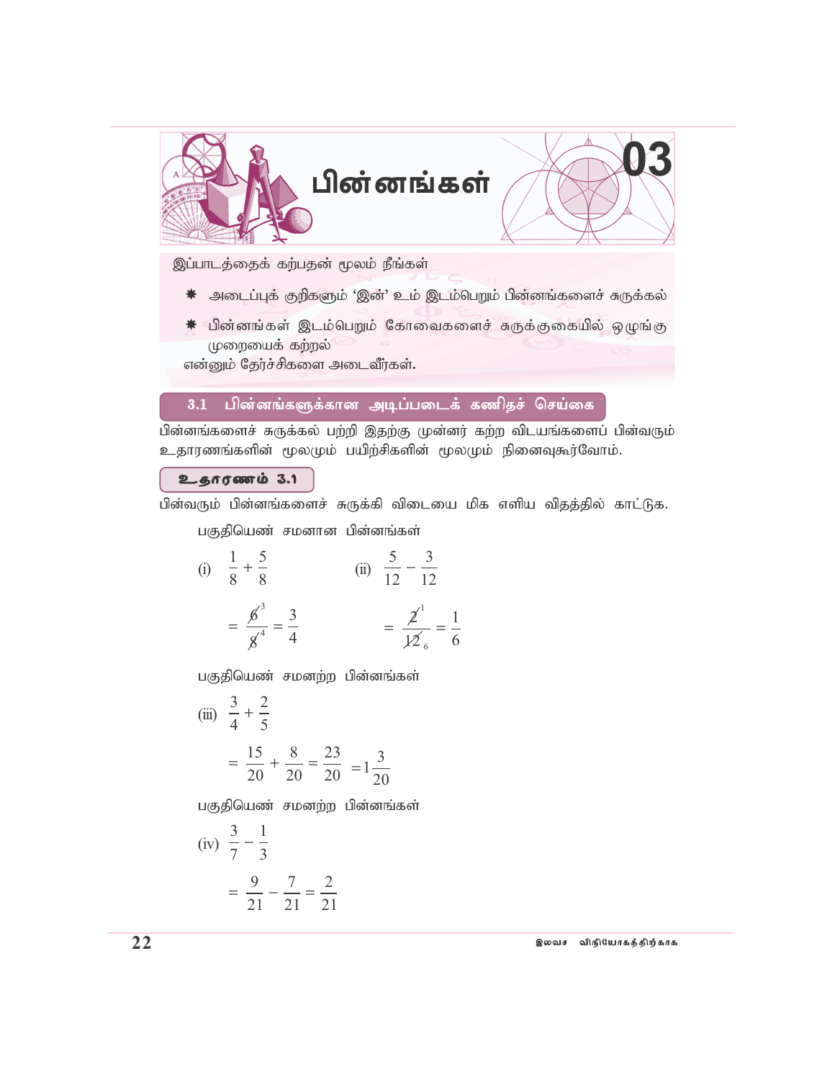

இப்பாடத்தைக் கற்பதன் மூலம் நீங்கள்

- ☀ அடைப்புக் குறிகளும் 'இன்' உம் இடம்பெறும் பின்னங்களைச் சுருக்கல்
- \* பின்னங்கள் இடம்பெறும் கோவைகளைச் சுருக்குகையில் ஒழுங்கு முறையைக் கற்றல்

என்னும் தேர்ச்சிகளை அடைவீர்கள்.

#### $3.1$ பின்னங்களுக்கான அடிப்படைக் கணிதச் செய்கை

பின்னங்களைச் சுருக்கல் பற்றி இதற்கு முன்னர் கற்ற விடயங்களைப் பின்வரும் உதாரணங்களின் மூலமும் பயிற்சிகளின் மூலமும் நினைவுகூர்வோம்.

#### உதாரணம் 3.1

பின்வரும் பின்னங்களைச் சுருக்கி விடையை மிக எளிய விதத்தில் காட்டுக.

பகுதியெண் சமனான பின்னங்கள்

(i) 
$$
\frac{1}{8} + \frac{5}{8}
$$
  
\n $= \frac{6^3}{8^4} = \frac{3}{4}$   
\n(ii)  $\frac{5}{12} - \frac{3}{12}$   
\n $= \frac{2^1}{12^6} = \frac{1}{6}$ 

பகுதியெண் சமனற்ற பின்னங்கள்

(iii) 
$$
\frac{3}{4} + \frac{2}{5}
$$
  
=  $\frac{15}{20} + \frac{8}{20} = \frac{23}{20} = 1\frac{3}{20}$ 

பகுதியெண் சமனற்ற பின்னங்கள்

(iv) 
$$
\frac{3}{7} - \frac{1}{3}
$$
  
=  $\frac{9}{21} - \frac{7}{21} = \frac{2}{21}$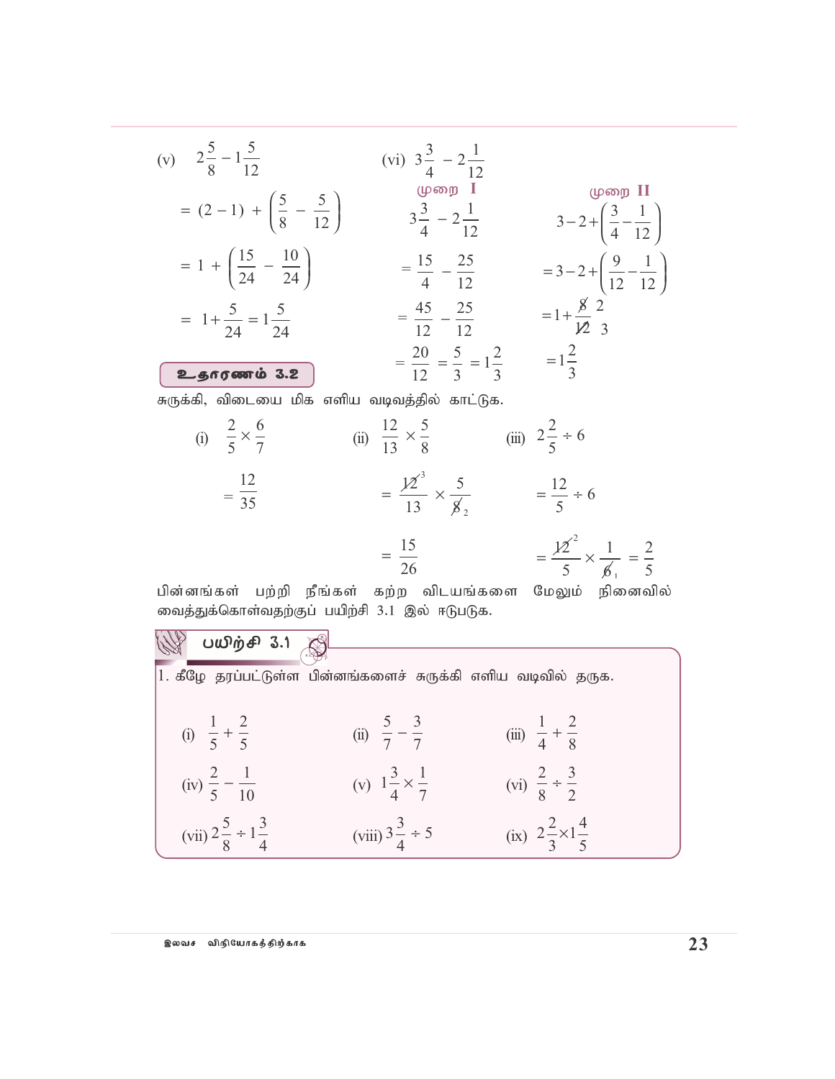(v) 
$$
2\frac{5}{8} - 1\frac{5}{12}
$$
 (vi)  $3\frac{3}{4} - 2\frac{1}{12}$   
\n
$$
= (2-1) + (\frac{5}{8} - \frac{5}{12})
$$
  
\n
$$
= 1 + (\frac{15}{24} - \frac{10}{24})
$$
  
\n
$$
= 1 + \frac{5}{24} = 1\frac{5}{24}
$$
  
\n
$$
= 1 + \frac{5}{24} = 1\frac{5}{24}
$$
  
\n
$$
= \frac{45}{12} - \frac{25}{12}
$$
  
\n
$$
= \frac{20}{12} = \frac{5}{3} = 1\frac{2}{3}
$$
  
\n
$$
= \frac{20}{12} = \frac{5}{3} = 1\frac{2}{3}
$$
  
\n
$$
= \frac{20}{12} = \frac{5}{3} = 1\frac{2}{3}
$$
  
\n
$$
= \frac{20}{12} = \frac{5}{3} = 1\frac{2}{3}
$$
  
\n
$$
= \frac{12}{35}
$$
  
\n
$$
= \frac{12}{35}
$$
  
\n
$$
= \frac{15}{13} \times \frac{5}{8}
$$
  
\n
$$
= \frac{15}{26}
$$
  
\n
$$
= \frac{12}{26} \times \frac{1}{6} = \frac{12}{3} \times \frac{1}{6}
$$
  
\n
$$
= \frac{12}{26} \times \frac{1}{6} = \frac{1}{3} \times \frac{1}{6}
$$

பின்னங்கள் பற்றி நீங்கள் கற்ற விடயங்களை மேலும் நினைவில் வைத்துக்கொள்வதற்குப் பயிற்சி  $3.1$  இல் ஈடுபடுக.

| பயிற்சி 3.1 <u>இ</u>                   |                                                               |                                       |  |
|----------------------------------------|---------------------------------------------------------------|---------------------------------------|--|
|                                        | 1. கீழே தரப்பட்டுள்ள பின்னங்களைச் சுருக்கி எளிய வடிவில் தருக. |                                       |  |
| (i) $\frac{1}{5} + \frac{2}{5}$        | (ii) $\frac{5}{7} - \frac{3}{7}$                              | (iii) $\frac{1}{4} + \frac{2}{8}$     |  |
| (iv) $\frac{2}{5} - \frac{1}{10}$      | (v) $1\frac{3}{4} \times \frac{1}{7}$                         | (vi) $\frac{2}{8} \div \frac{3}{2}$   |  |
| (vii) $2\frac{5}{8} \div 1\frac{3}{4}$ | (viii) $3\frac{3}{4} \div 5$                                  | (ix) $2\frac{2}{3}\times1\frac{4}{5}$ |  |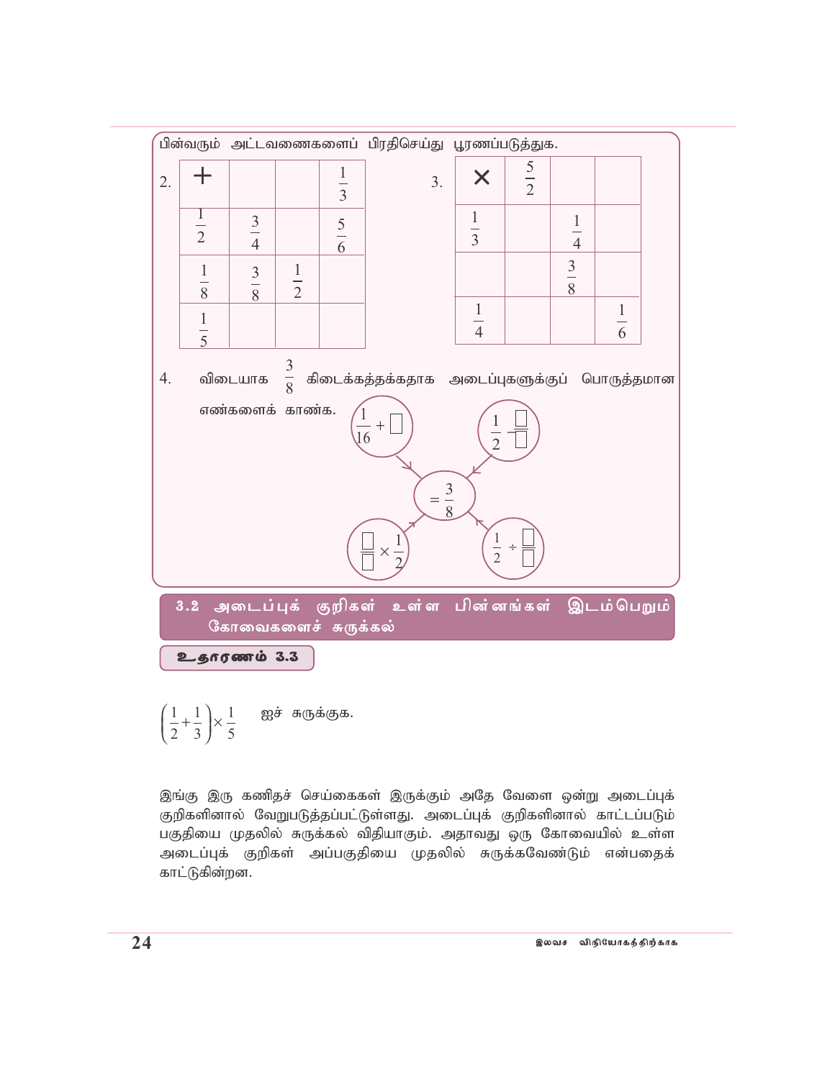

ஐச் சுருக்குக.  $\left(\frac{1}{2} + \frac{1}{3}\right) \times \frac{1}{5}$ 

இங்கு இரு கணிதச் செய்கைகள் இருக்கும் அதே வேளை ஒன்று அடைப்புக் குறிகளினால் வேறுபடுத்தப்பட்டுள்ளது. அடைப்புக் குறிகளினால் காட்டப்படும் பகுதியை முதலில் சுருக்கல் விதியாகும். அதாவது ஒரு கோவையில் உள்ள அடைப்புக் குறிகள் அப்பகுதியை முதலில் சுருக்கவேண்டும் என்பதைக் காட்டுகின்றன.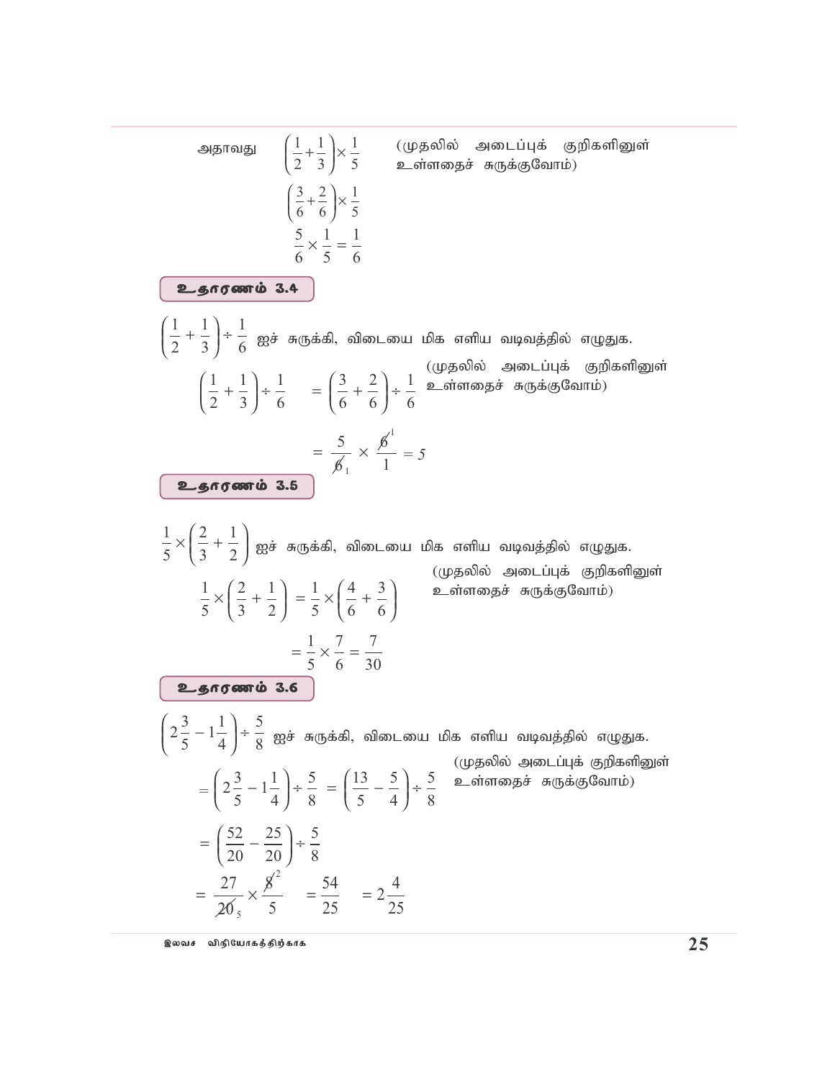1 2 1 3 1 6 + ÷ Ir; RUf;fp> tpilia kpf vspa tbtj;jpy; vOJf. 1 2 1 3 1 6 + ÷ = + ÷ 3 6 2 6 1 6 = × 5 6 6 1 <sup>1</sup> 1 *= 5* 1 5 2 3 1 2 × + Ir; RUf;fp> tpilia kpf vspa tbtj;jpy; vOJf. 1 5 2 3 1 2 × + = × + 1 5 4 6 3 6 = × = 1 5 7 6 7 30 2 3 5 1 1 4 5 8 − ÷ Ir; RUf;fp> tpilia kpf vspa tbtj;jpy; vOJf. *=* 2 3 5 1 1 4 5 8 − ÷ = − ÷ 13 5 5 4 5 8 = − ÷ 52 20 25 20 5 8 (Kjypy; milg;Gf; FwpfspDs; cs;sijr; RUf;FNthk;) (Kjypy; milg;Gf; FwpfspDs; cs;sijr; RUf;FNthk;) (Kjypy; milg;Gf; FwpfspDs; cs;sijr; RUf;FNthk;) cjhuzk ; 3.5 cjhuzk ; 3.4 cjhuzk ; 3.6 1 2 1 3 1 5 + × 3 6 2 6 1 5 + × 5 6 1 5 1 6 × = = × = = 27 20 8 5 54 25 2 4 25 <sup>5</sup> 2 mjhtJ (Kjypy; milg;Gf; FwpfspDs; cs;sijr; RUf;FNthk;)

இலவச விநியோகத்திற்காக **முறைமையான முறைமையான முறைவாக முறைவாக முன்பை** முறைவாக முறைவாக முறைவாக முறைவாக முறைவாக முறைவ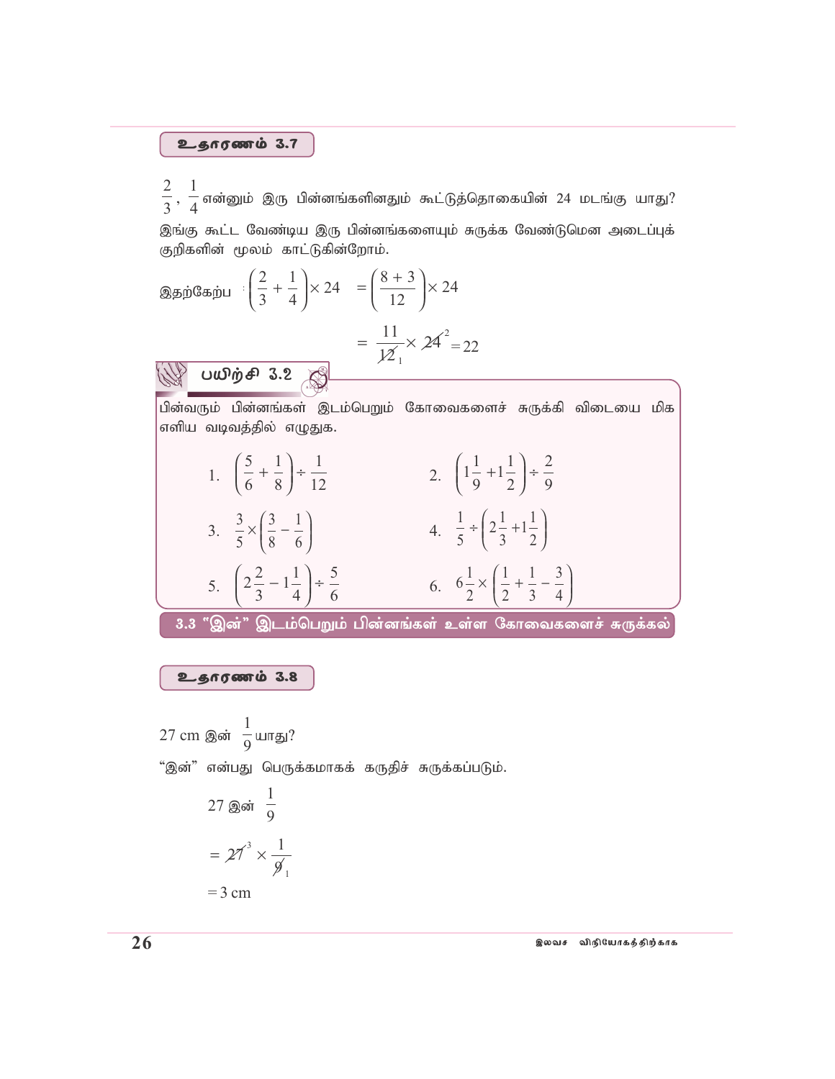$\frac{2}{3}, \frac{1}{4}$  என்னும் இரு பின்னங்களினதும் கூட்டுத்தொகையின் 24 மடங்கு யாது? இங்கு கூட்ட வேண்டிய இரு பின்னங்களையும் சுருக்க வேண்டுமென அடைப்புக் குறிகளின் மூலம் காட்டுகின்றோம்.

 $27 \text{ cm}$  இன்  $\frac{1}{9}$ யாது? "இன்" என்பது பெருக்கமாகக் கருதிச் சுருக்கப்படும். 27 இன்  $\frac{1}{9}$ =  $27^3 \times \frac{1}{9}$ 

 $=$  3 cm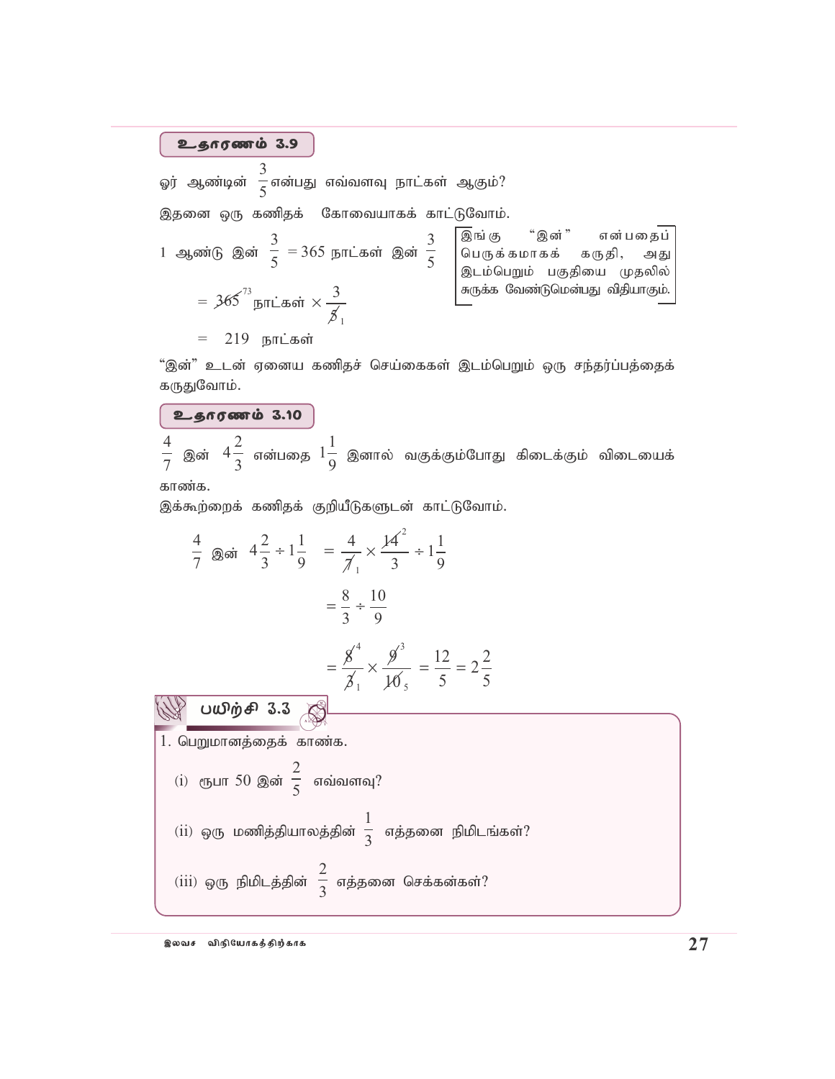ஓர் ஆண்டின் 3  $\frac{1}{5}$ என்பது எவ்வளவு நாட்கள் ஆகும்?<br> $\frac{1}{5}$ 

இதனை ஒரு கணிதக் கோவையாகக் காட்டுவோம்.

1 ஆண்டு இன் 
$$
\frac{3}{5} = 365
$$
 நாட்கள் இன்  $\frac{3}{5}$   
\n=  $365^{\frac{73}{3}}$ நாட்கள்  $\times \frac{3}{\cancel{5}_1}$   
\n= 219 நாட்கள்  $\times \frac{3}{\cancel{5}_1}$   
\n= 219 நாட்கள்

"இன்" உடன் ஏனைய கணிதச் செய்கைகள் இடம்பெறும் ஒரு சந்தர்ப்பத்தைக் கருதுவோம்.

உதாரணம் 3.10

4 7 இன்  $4\frac{2}{3}$  $\frac{2}{3}$  என்பதை  $1\frac{1}{9}$  $\frac{1}{9}$  இனால் வகுக்கும்போது கிடைக்கும் விடையைக்

காண்க.

இக்கூற்றைக் கணிதக் குறியீடுகளுடன் காட்டுவோம்.

$$
\frac{4}{7} \text{ and } 4\frac{2}{3} \div 1\frac{1}{9} = \frac{4}{7} \times \frac{14^{2}}{3} \div 1\frac{1}{9}
$$
\n
$$
= \frac{8}{3} \div \frac{10}{9}
$$
\n
$$
= \frac{8^{4}}{3} \times \frac{9^{3}}{10^{5}} = \frac{12}{5} = 2\frac{2}{5}
$$
\nW **UUD**  $\vec{p} \cdot \vec{p}$  = 3.3

\n1. Gugl  $\vec{p}$  = 5

\n1. Gugl  $\vec{p}$  = 5

\n2.4

\n3.5

\n4.6

\n4.7

\n5.8

\n6.9

\n7.9

\n8.3

\n9.1

\n1.4

\n1.4

\n1.4

\n1.5

\n1.6

\n1.7

\n1.8

\n1.9

\n1.9

\n1.1

\n1.1

\n1.1

\n2.1

\n3.3

\n4.4

\n5.4

\n6.5

\n7.4

\n8.4

\n9.5

\n10.6

\n11.4

\n12.5

\n13.6

\n14.7

\n15.7

\n16.7

\n17.8

\n18.8

\n19.9

\n10.9

\n10.9

\n11.9

\n12.9

\n13.9

\n14.9

\n15.9

\n16.9

\n17.9

\n18.1

\n19.9

\n10.9

\n10.9

\n11.9

\n12.9

\n13.9

\n14.9

\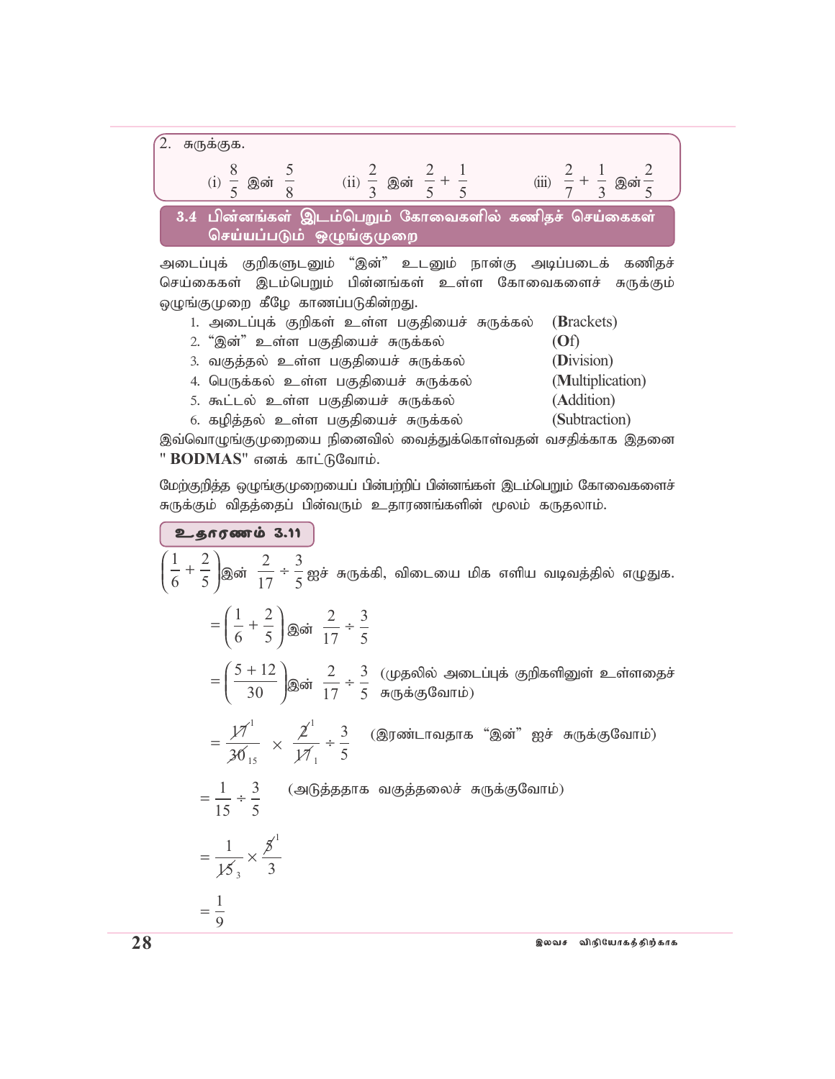

செய்கைகள் இடம்பெறும் பின்னங்கள் உள்ள கோவைகளைச் சுருக்கும் ஒழுங்குமுறை கீழே காணப்படுகின்றது.

- 1. அடைப்புக் குறிகள் உள்ள பகுதியைச் சுருக்கல் (Brackets)
- 2' ',d;" cs;s gFjpiar; RUf;fy; (**O**f)
- 3. வகுத்தல் உள்ள பகுதியைச் சுருக்கல் **(Division)**
- 4. பெருக்கல் உள்ள பகுதியைச் சுருக்கல் (Multiplication)
- 5' \$l;ly; cs;s gFjpiar; RUf;fy; (**A**ddition)
- 6. கழித்தல் உள்ள பகுதியைச் சுருக்கல் (Subtraction)

இவ்வொழுங்குமுறையை நினைவில் வைத்துக்கொள்வதன் வசதிக்காக இதனை **" BODMAS"** எனக் காட்டுவோம்.

மேற்குறித்த ஒழுங்குமுறையைப் பின்பற்றிப் பின்னங்கள் இடம்பெறும் கோவைகளைச் சுருக்கும் விதத்தைப் பின்வரும் உதாரணங்களின் மூலம் கருதலாம்.

1 6 2 5  $\left(\frac{1}{\epsilon}+\right)$  $\overline{\mathcal{L}}$  $\overline{a}$ )<sup>இன்</sup> 2 17 3  $\frac{1}{5}$  ஐச் சுருக்கி, விடையை மிக எளிய வடிவத்தில் எழுதுக.  $=\left(\frac{1}{2} + \right)$  $\overline{\mathcal{L}}$  $\overline{a}$  $\overline{1}$ 1 6 2  $\overline{5}$   $\int$ இன் 2 17 3 5 ÷  $=\left(\frac{5+}{2}\right)$  $\overline{\mathcal{L}}$  $\overline{a}$  $\overline{\phantom{a}}$  $5 + 12$  $\overline{30}$  இன் 2 17 3 5  $\div \frac{3}{5}$  (முதலில் அடைப்புக் குறிகளினுள் உள்ளதைச்  $=\frac{\cancel{17}}{24}$ 30 1 15  $\times \frac{\cancel{2}^1}{\cancel{17}}$  ÷  $\cancel{17}$ 3 5  $\frac{1}{\epsilon}$  ,  $\frac{3}{\epsilon}$  (இரண்டாவதாக "இன்" ஐச் சுருக்குவோம்) 1  $=\frac{1}{16}$  ÷ 15 3 5  $=\frac{1}{12}$   $\times$ 15  $\cancel{5}$ 3 <sup>3</sup> 1  $=\frac{1}{2}$ 9 சுருக்குவோம்)  $2.60$ (அடுத்ததாக வகுத்தலைச் சுருக்குவோம்)

 $28$  , we have the proposition of the contract  $\epsilon$  that  $\epsilon$  is a set of  $\epsilon$  and  $\epsilon$  and  $\epsilon$  and  $\epsilon$  and  $\epsilon$  and  $\epsilon$  and  $\epsilon$  and  $\epsilon$  and  $\epsilon$  and  $\epsilon$  and  $\epsilon$  and  $\epsilon$  and  $\epsilon$  and  $\epsilon$  and  $\epsilon$  and  $\epsilon$  and  $\$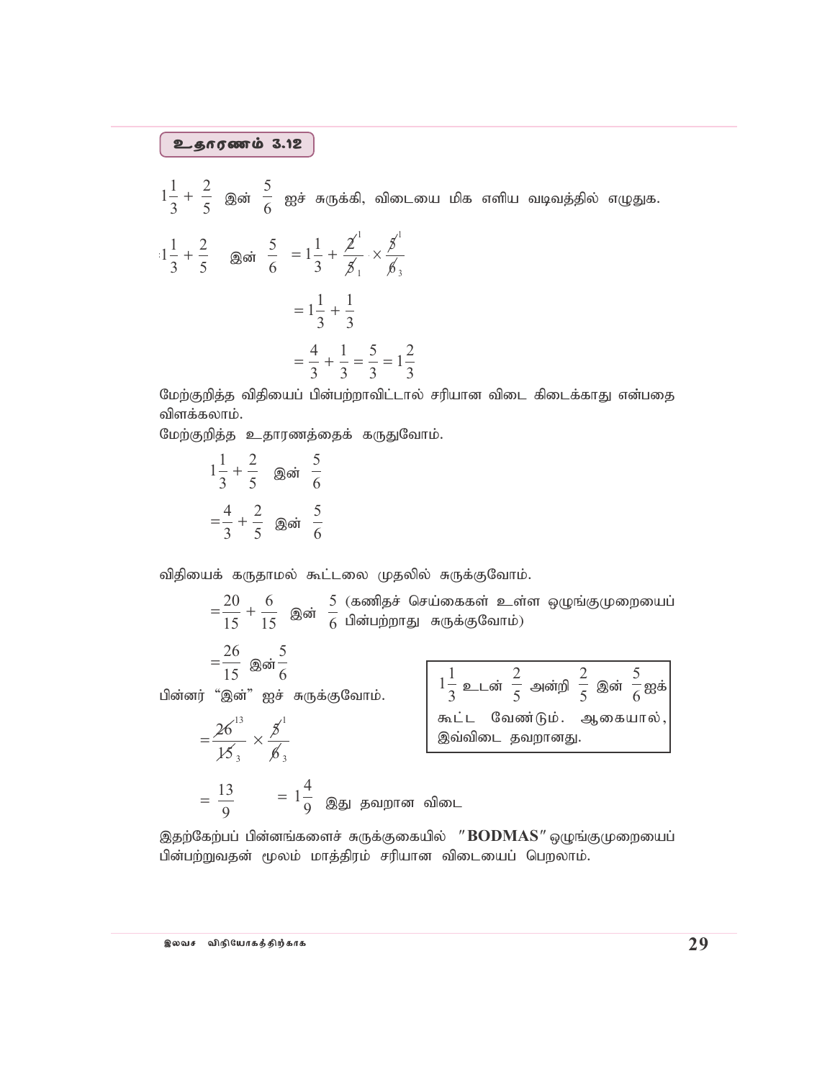$1\frac{1}{3} + \frac{2}{5}$  இன்  $\frac{5}{6}$  ஐச் சுருக்கி, விடையை மிக எளிய வடிவத்தில் எழுதுக.

$$
1\frac{1}{3} + \frac{2}{5} \quad \text{gasi} \quad \frac{5}{6} = 1\frac{1}{3} + \frac{2^1}{5^1} \times \frac{5^1}{5^1}
$$

$$
= 1\frac{1}{3} + \frac{1}{3}
$$

$$
= \frac{4}{3} + \frac{1}{3} = \frac{5}{3} = 1\frac{2}{3}
$$

மேற்குறித்த விதியைப் பின்பற்றாவிட்டால் சரியான விடை கிடைக்காது என்பதை விளக்கலாம்.

மேற்குறித்த உதாரணத்தைக் கருதுவோம்.

$$
1\frac{1}{3} + \frac{2}{5} \quad \text{goint} \quad \frac{5}{6}
$$

$$
= \frac{4}{3} + \frac{2}{5} \quad \text{goint} \quad \frac{5}{6}
$$

விதியைக் கருதாமல் கூட்டலை முதலில் சுருக்குவோம்.

 $=\frac{13}{9}$   $=1\frac{4}{9}$  இது தவறான விடை

 $=\frac{20}{15}+\frac{6}{15}$  இன்  $\frac{5}{6}$  (கணிதச் செய்கைகள் உள்ள ஒழுங்குமுறையைப்

$$
=\frac{26}{15} \quad \text{and} \quad \frac{5}{6}
$$

பின்னர் "இன்" ஐச் சுருக்குவோம்.

$$
=\frac{26^{13}}{15_3}\times\frac{5^1}{6_3}
$$

$$
1\frac{1}{3} \underline{\circ} \bot
$$
ன்  $\frac{2}{5}$  அன்றி  $\frac{2}{5}$  இன்  $\frac{5}{6}$  ஐக்   
கூட்ட வேண்டும். ஆகையால்,  
இவ்விடை தவறானது.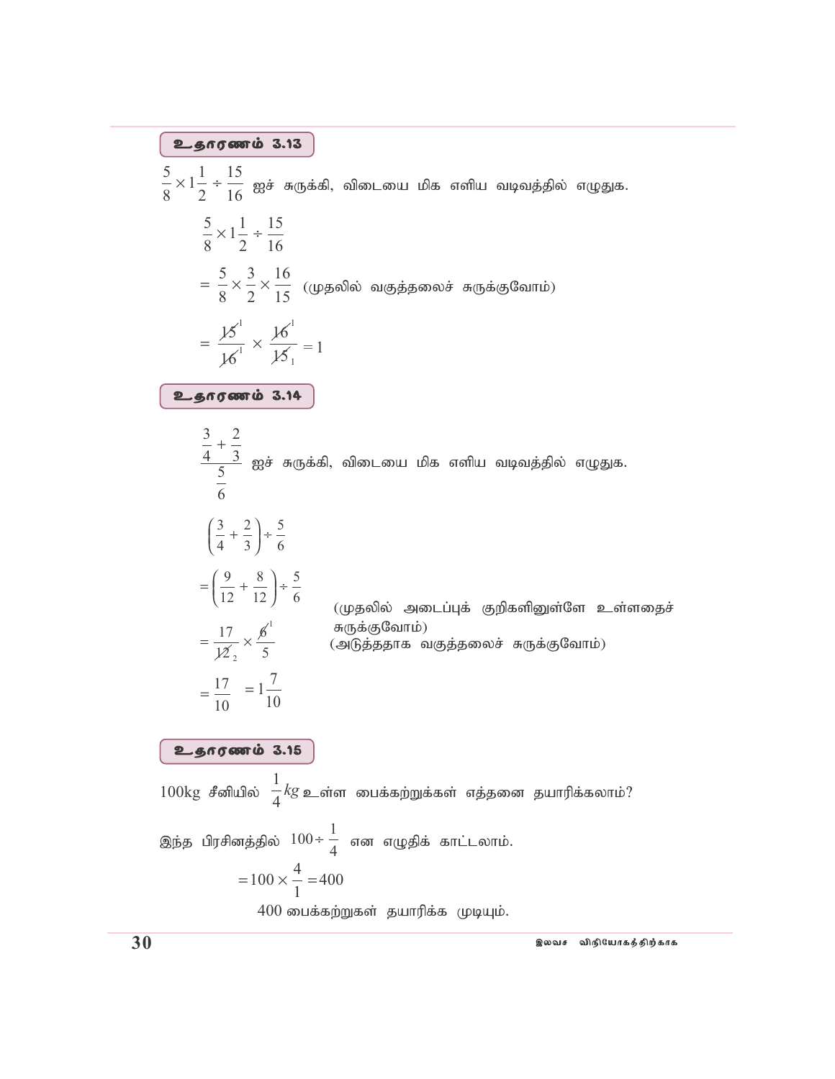$$
\frac{5}{8} \times 1\frac{1}{2} + \frac{15}{16}
$$
824 54 (J~~3~~ + J~~3~~ + J~~6~~ + J~~6~~ + J~~6~~ + J~~6~~ + J~~6~~ + J~~6~~ + J~~6~~ + J~~6~~ + J~~6~~ + J~~6~~ + J~~6~~ + J~~6~~ + J~~6~~ + J~~6~~ + J~~6~~ + J~~6~~ + J~~6~~ + J~~6~~ + J~~6~~ + J~~6~~ + J~~6~~ + J~~6~~ + J~~6~~ + J~~6~~ + J~~6~~ + J~~6~~ + J~~6~~ + J~~6~~ + J~~6~~ + J~~6~~ + J~~6~~ + J~~6~~ + J~~6~~ + J~~6~~ + J~~6~~ + J~~6~~ + J~~6~~ + J~~6~~ + J~~6~~ + J~~6~~ + J~~6~~ + J~~6~~ + J~~6~~ + J~~6~~ + J~~6~~ + J~~6~~ + J~~6~~ + J~~6~~ + J~~6~~ + J~~6~~ + J~~6~~ + J~~6~~ + J~~6~~ + J~~6~~ + J~~6~~ + J~~6~~ + J~~6~~ + J~~6~~ + J~~6~~ + J~~6~~ + J~~6~~ + J~~6~~ + J~~6~~ + J~~6~~ + J~~6~~ + J~~6~~ + J~~6~~ + J~~6~~ + J~~6~~ + J~~6~~ + J~~6~~ + J~~6~~ + J~~6~~ + J~~6~~ + J~~6~~ + J~~6~~ + J~~6~~ + J~~6~~ + J<

, இலவச விநியோகத்திற்காக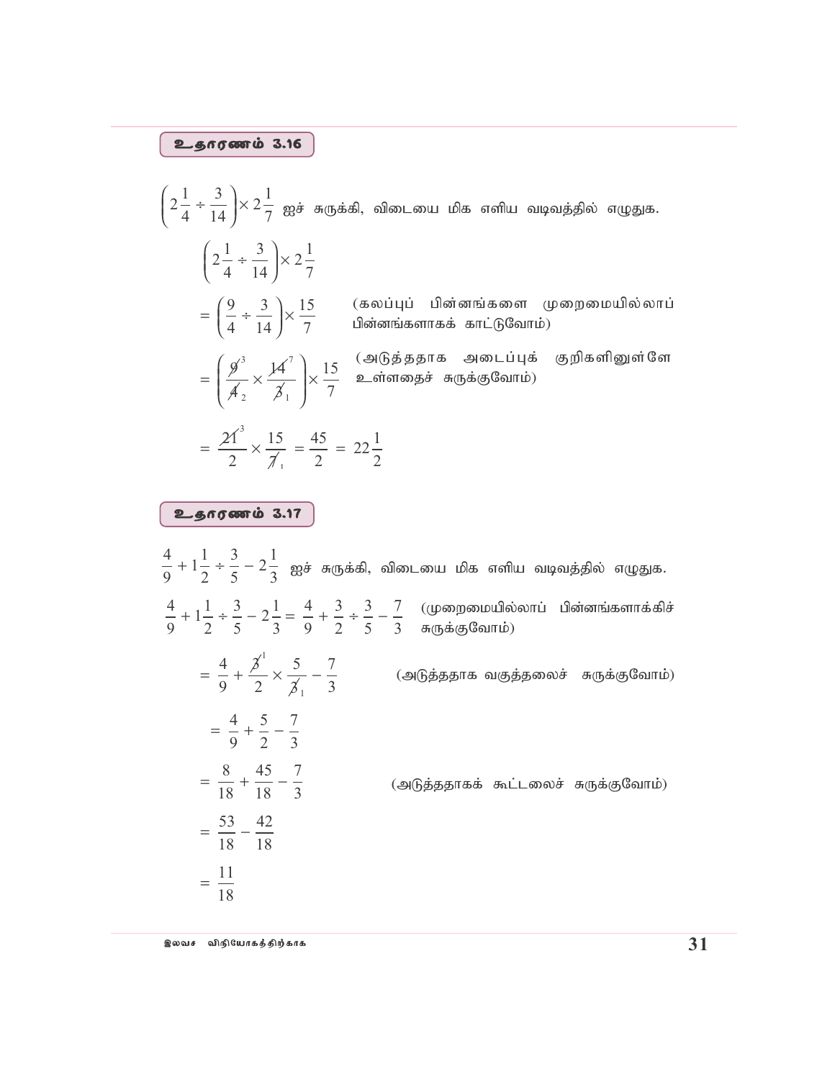### $2.666$

$$
\left(2\frac{1}{4} \div \frac{3}{14}\right) \times 2\frac{1}{7} \text{ gg\ddot{\theta}} \text{ a(fg\ddot{\theta})} \text{ a(fg\ddot{\theta})} \text{ a(gg\ddot{\theta})} \text{ a(gg\ddot{\theta})} \text{ a(gg\ddot{\theta})} \text{ a(gg\ddot{\theta})} \text{ a(gg\ddot{\theta})} \text{ a(gg\ddot{\theta})} \text{ a(gg\ddot{\theta})} \right)
$$
\n
$$
= \left(\frac{9}{4} \div \frac{3}{14}\right) \times 2\frac{1}{7} \text{ (aogg\ddot{\theta})} \text{ a(gg\ddot{\theta})} \text{ a(gg\ddot{\theta})} \text{ a(gg\ddot{\theta})} \text{ a(gg\ddot{\theta})} \text{ a(gg\ddot{\theta})} \text{ a(gg\ddot{\theta})} \text{ a(gg\ddot{\theta})} \text{ a(gg\ddot{\theta})} \text{ a(gg\ddot{\theta})} \text{ a(gg\ddot{\theta})} \text{ a(gg\ddot{\theta})} \text{ a(gg\ddot{\theta})} \text{ a(gg\ddot{\theta})} \text{ a(gg\ddot{\theta})} \text{ a(gg\ddot{\theta})} \text{ a(gg\ddot{\theta})} \text{ a(gg\ddot{\theta})} \text{ a(gg\ddot{\theta})} \text{ a(gg\ddot{\theta})} \text{ a(gg\ddot{\theta})} \text{ a(gg\ddot{\theta})} \text{ a(gg\ddot{\theta})} \text{ a(gg\ddot{\theta})} \text{ a(gg\ddot{\theta})} \text{ a(gg\ddot{\theta})} \text{ a(gg\ddot{\theta})} \text{ a(gg\ddot{\theta})} \text{ a(gg\ddot{\theta})} \text{ a(gg\ddot{\theta})} \text{ a(gg\ddot{\theta})} \text{ a(gg\ddot{\theta})} \text{ a(gg\ddot{\theta})} \text{ a(gg\ddot{\theta})} \text{ a(gg\ddot{\theta})} \text{ a(gg\ddot{\theta})} \text{ a(gg\ddot{\theta})} \text{ a(gg\ddot{\theta})} \text{ a(gg\ddot{\theta})} \text{ a(gg\ddot{\theta})} \text{ a(gg\ddot{\theta})} \text{ a(gg\ddot{\theta})} \text{ a(gg
$$

# உதாரணம் 3.17

4 9  $1\frac{1}{2}$ 2 3 5  $2\frac{1}{2}$  $\frac{11}{2} \div \frac{5}{5} - 2\frac{1}{3}$  ஐச் சுருக்கி, விடையை மிக எளிய வடிவத்தில் எழுதுக.  $\frac{4}{9} + 1\frac{1}{2} \div \frac{3}{7}$ 9  $1\frac{1}{2}$ 2 3 5  $2\frac{1}{2}$ 3  $=\frac{4}{2} + \frac{3}{2} \div \frac{3}{2} -$ 9 3 2 3 5 7 3  $= \frac{4}{3} + \frac{\cancel{3}^2}{2} \times \frac{5}{\cancel{4}} -$ 9  $\cancel{5}$ 2 5  $\cancel{5}$ 7 3 1 1  $=$  $\frac{4}{0} + \frac{5}{2}$ 9 5 2 7 3  $=$   $\frac{8}{10} + \frac{45}{10}$ 18 45 18 7 3 (அடுத்ததாகக் கூட்டலைச் சுருக்குவோம்)  $=$  $\frac{53}{18}$ 18 42 18  $=\frac{11}{18}$ 18 (முறைமையில்லாப் பின்னங்களாக்கிச் சுருக்குவோம்)  $(\triangleleft$ டுத்ததாக வகுத்தலைச் சுருக்குவோம்)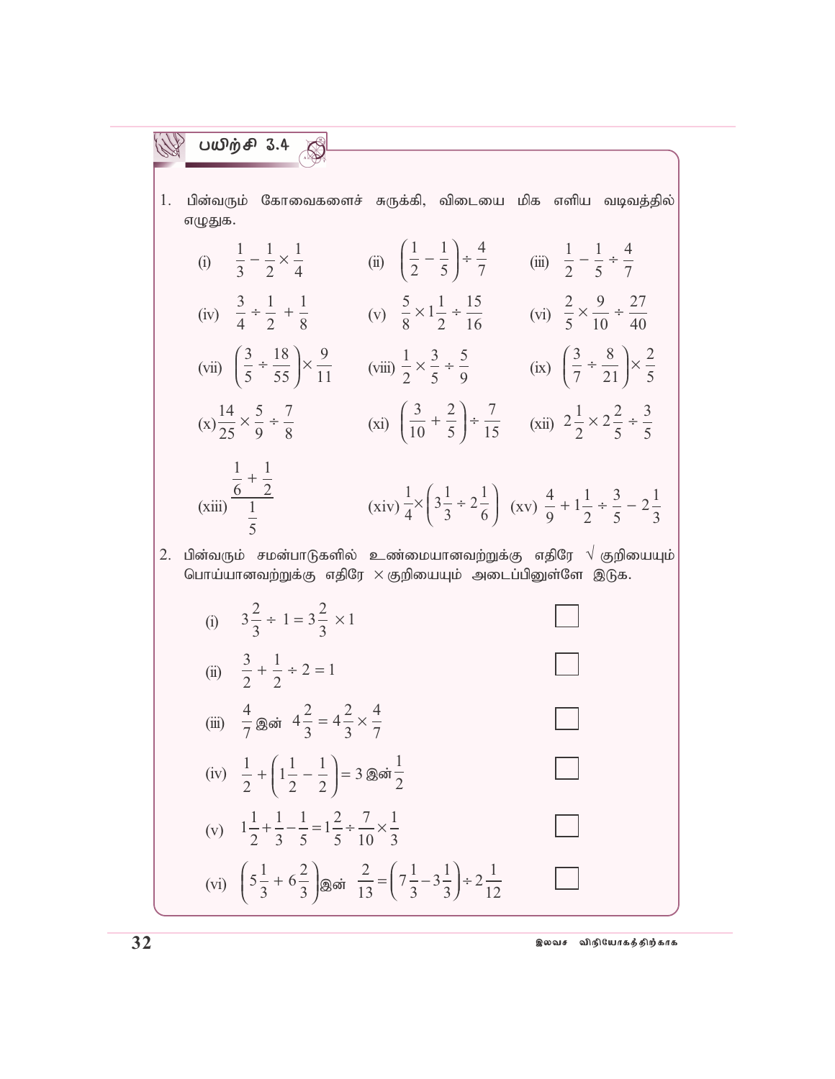